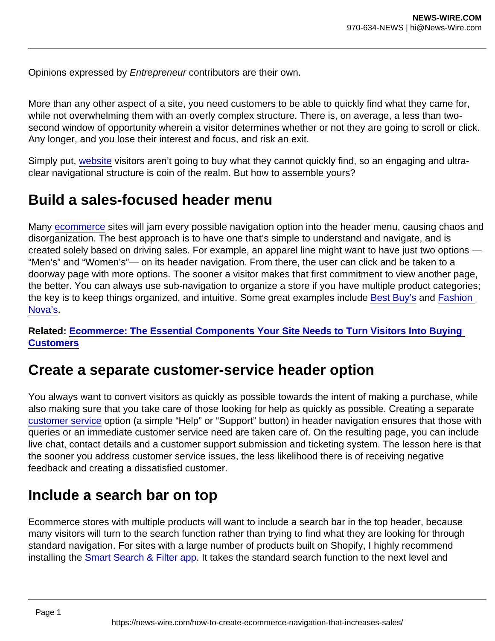Opinions expressed by Entrepreneur contributors are their own.

More than any other aspect of a site, you need customers to be able to quickly find what they came for, while not overwhelming them with an overly complex structure. There is, on average, a less than twosecond window of opportunity wherein a visitor determines whether or not they are going to scroll or click. Any longer, and you lose their interest and focus, and risk an exit.

Simply put, [website](https://www.entrepreneur.com/topic/website) visitors aren't going to buy what they cannot quickly find, so an engaging and ultraclear navigational structure is coin of the realm. But how to assemble yours?

## Build a sales-focused header menu

Many [ecommerce](https://www.entrepreneur.com/topic/ecommerce) sites will jam every possible navigation option into the header menu, causing chaos and disorganization. The best approach is to have one that's simple to understand and navigate, and is created solely based on driving sales. For example, an apparel line might want to have just two options — "Men's" and "Women's"— on its header navigation. From there, the user can click and be taken to a doorway page with more options. The sooner a visitor makes that first commitment to view another page, the better. You can always use sub-navigation to organize a store if you have multiple product categories; the key is to keep things organized, and intuitive. Some great examples include [Best Buy's](http://key is to keep things organized, and intuitive. Some great examples include Best Buy’s product navigation fo) and [Fashion](https://www.fashionnova.com/)  [Nova's.](https://www.fashionnova.com/)

Related: [Ecommerce: The Essential Components Your Site Needs to Turn Visitors Into Buying](https://www.entrepreneur.com/article/355482)  **Customers** 

## Create a separate customer-service header option

You always want to convert visitors as quickly as possible towards the intent of making a purchase, while also making sure that you take care of those looking for help as quickly as possible. Creating a separate [customer service](https://www.entrepreneur.com/topic/customer-service) option (a simple "Help" or "Support" button) in header navigation ensures that those with queries or an immediate customer service need are taken care of. On the resulting page, you can include live chat, contact details and a customer support submission and ticketing system. The lesson here is that the sooner you address customer service issues, the less likelihood there is of receiving negative feedback and creating a dissatisfied customer.

## Include a search bar on top

Ecommerce stores with multiple products will want to include a search bar in the top header, because many visitors will turn to the search function rather than trying to find what they are looking for through standard navigation. For sites with a large number of products built on Shopify, I highly recommend installing the [Smart Search & Filter app](https://apps.shopify.com/searchanise). It takes the standard search function to the next level and